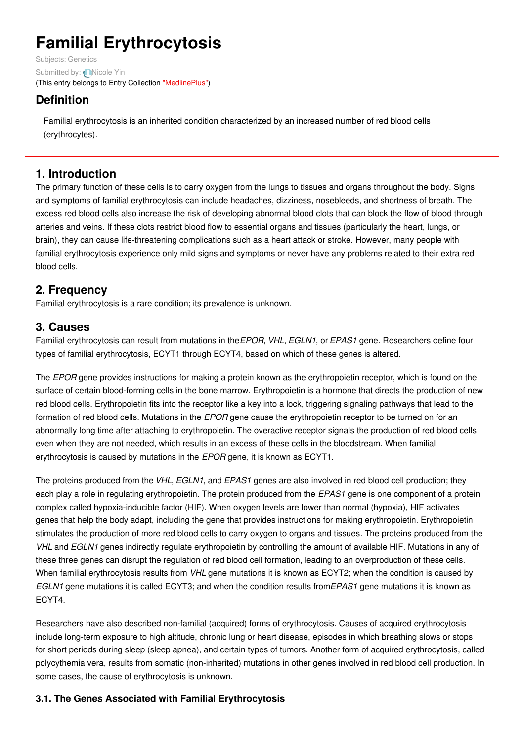# **Familial Erythrocytosis**

Subjects: [Genetics](https://encyclopedia.pub/item/subject/56) Submitted by: [Nicole](https://sciprofiles.com/profile/807605) Yin (This entry belongs to Entry Collection ["MedlinePlus"](https://encyclopedia.pub/entry/collection/24))

# **Definition**

Familial erythrocytosis is an inherited condition characterized by an increased number of red blood cells (erythrocytes).

## **1. Introduction**

The primary function of these cells is to carry oxygen from the lungs to tissues and organs throughout the body. Signs and symptoms of familial erythrocytosis can include headaches, dizziness, nosebleeds, and shortness of breath. The excess red blood cells also increase the risk of developing abnormal blood clots that can block the flow of blood through arteries and veins. If these clots restrict blood flow to essential organs and tissues (particularly the heart, lungs, or brain), they can cause life-threatening complications such as a heart attack or stroke. However, many people with familial erythrocytosis experience only mild signs and symptoms or never have any problems related to their extra red blood cells.

## **2. Frequency**

Familial erythrocytosis is a rare condition; its prevalence is unknown.

## **3. Causes**

Familial erythrocytosis can result from mutations in the*EPOR*, *VHL*, *EGLN1*, or *EPAS1* gene. Researchers define four types of familial erythrocytosis, ECYT1 through ECYT4, based on which of these genes is altered.

The *EPOR* gene provides instructions for making a protein known as the erythropoietin receptor, which is found on the surface of certain blood-forming cells in the bone marrow. Erythropoietin is a hormone that directs the production of new red blood cells. Erythropoietin fits into the receptor like a key into a lock, triggering signaling pathways that lead to the formation of red blood cells. Mutations in the *EPOR* gene cause the erythropoietin receptor to be turned on for an abnormally long time after attaching to erythropoietin. The overactive receptor signals the production of red blood cells even when they are not needed, which results in an excess of these cells in the bloodstream. When familial erythrocytosis is caused by mutations in the *EPOR* gene, it is known as ECYT1.

The proteins produced from the *VHL*, *EGLN1*, and *EPAS1* genes are also involved in red blood cell production; they each play a role in regulating erythropoietin. The protein produced from the *EPAS1* gene is one component of a protein complex called hypoxia-inducible factor (HIF). When oxygen levels are lower than normal (hypoxia), HIF activates genes that help the body adapt, including the gene that provides instructions for making erythropoietin. Erythropoietin stimulates the production of more red blood cells to carry oxygen to organs and tissues. The proteins produced from the *VHL* and *EGLN1* genes indirectly regulate erythropoietin by controlling the amount of available HIF. Mutations in any of these three genes can disrupt the regulation of red blood cell formation, leading to an overproduction of these cells. When familial erythrocytosis results from *VHL* gene mutations it is known as ECYT2; when the condition is caused by *EGLN1* gene mutations it is called ECYT3; and when the condition results from*EPAS1* gene mutations it is known as ECYT4.

Researchers have also described non-familial (acquired) forms of erythrocytosis. Causes of acquired erythrocytosis include long-term exposure to high altitude, chronic lung or heart disease, episodes in which breathing slows or stops for short periods during sleep (sleep apnea), and certain types of tumors. Another form of acquired erythrocytosis, called polycythemia vera, results from somatic (non-inherited) mutations in other genes involved in red blood cell production. In some cases, the cause of erythrocytosis is unknown.

## **3.1. The Genes Associated with Familial Erythrocytosis**